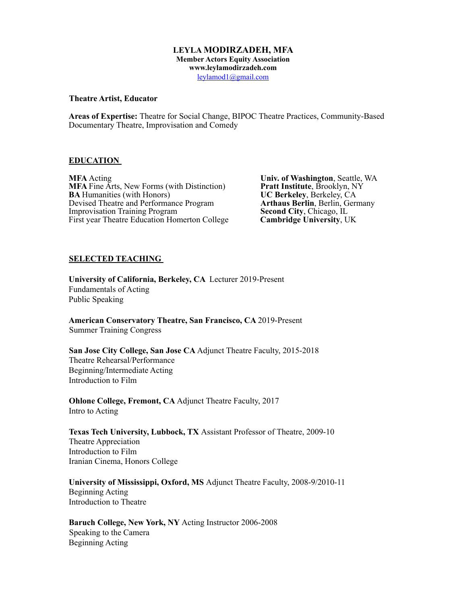### **LEYLA MODIRZADEH, MFA Member Actors Equity Association www.leylamodirzadeh.com**  leylamod1@gmail.com

### **Theatre Artist, Educator**

**Areas of Expertise:** Theatre for Social Change, BIPOC Theatre Practices, Community-Based Documentary Theatre, Improvisation and Comedy

### **EDUCATION**

**MFA** Acting **Univ. of Washington**, Seattle, WA<br> **MFA** Fine Arts, New Forms (with Distinction) **Pratt Institute**, Brooklyn, NY **MFA** Fine Arts, New Forms (with Distinction) **Pratt Institute**, Brooklyn, N<br> **BA** Humanities (with Honors) **UC Berkeley**, Berkeley, CA **BA Humanities (with Honors) UC Berkeley**, Berkeley, CA Devised Theatre and Performance Program **Arthaus Berlin**, Berlin, Germany **Devised Theatre and Performance Program** *Arthaus Berlin***, Berlin, G. (Improvisation Training Program** *Second City***, Chicago, IL** Improvisation Training Program **Second City**, Chicago, IL<br>First year Theatre Education Homerton College **Cambridge University**, UK First year Theatre Education Homerton College

### **SELECTED TEACHING**

**University of California, Berkeley, CA** Lecturer 2019-Present Fundamentals of Acting Public Speaking

**American Conservatory Theatre, San Francisco, CA** 2019-Present Summer Training Congress

**San Jose City College, San Jose CA** Adjunct Theatre Faculty, 2015-2018 Theatre Rehearsal/Performance Beginning/Intermediate Acting Introduction to Film

**Ohlone College, Fremont, CA** Adjunct Theatre Faculty, 2017 Intro to Acting

**Texas Tech University, Lubbock, TX** Assistant Professor of Theatre, 2009-10 Theatre Appreciation Introduction to Film Iranian Cinema, Honors College

**University of Mississippi, Oxford, MS** Adjunct Theatre Faculty, 2008-9/2010-11 Beginning Acting Introduction to Theatre

**Baruch College, New York, NY** Acting Instructor 2006-2008 Speaking to the Camera Beginning Acting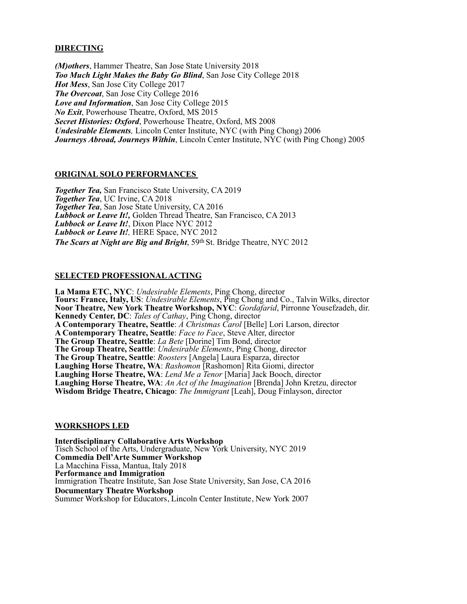# **DIRECTING**

*(M)others*, Hammer Theatre, San Jose State University 2018 *Too Much Light Makes the Baby Go Blind*, San Jose City College 2018 *Hot Mess*, San Jose City College 2017 *The Overcoat*, San Jose City College 2016 *Love and Information*, San Jose City College 2015 *No Exit*, Powerhouse Theatre, Oxford, MS 2015 *Secret Histories: Oxford*, Powerhouse Theatre, Oxford, MS 2008 *Undesirable Elements,* Lincoln Center Institute, NYC (with Ping Chong) 2006 *Journeys Abroad, Journeys Within*, Lincoln Center Institute, NYC (with Ping Chong) 2005

# **ORIGINAL SOLO PERFORMANCES**

*Together Tea,* San Francisco State University, CA 2019 *Together Tea*, UC Irvine, CA 2018 *Together Tea*, San Jose State University, CA 2016 *Lubbock or Leave It!,* Golden Thread Theatre, San Francisco, CA 2013 *Lubbock or Leave It!*, Dixon Place NYC 2012 *Lubbock or Leave It!,* HERE Space, NYC 2012 *The Scars at Night are Big and Bright*, 59th St. Bridge Theatre, NYC 2012

## **SELECTED PROFESSIONAL ACTING**

**La Mama ETC, NYC**: *Undesirable Elements*, Ping Chong, director **Tours: France, Italy, US**: *Undesirable Elements*, Ping Chong and Co., Talvin Wilks, director **Noor Theatre, New York Theatre Workshop, NYC**: *Gordafarid*, Pirronne Yousefzadeh, dir. **Kennedy Center, DC**: *Tales of Cathay*, Ping Chong, director **A Contemporary Theatre, Seattle**: *A Christmas Carol* [Belle] Lori Larson, director **A Contemporary Theatre, Seattle**: *Face to Face*, Steve Alter, director **The Group Theatre, Seattle**: *La Bete* [Dorine] Tim Bond, director **The Group Theatre, Seattle**: *Undesirable Elements*, Ping Chong, director **The Group Theatre, Seattle**: *Roosters* [Angela] Laura Esparza, director **Laughing Horse Theatre, WA**: *Rashomon* [Rashomon] Rita Giomi, director **Laughing Horse Theatre, WA**: *Lend Me a Tenor* [Maria] Jack Booch, director **Laughing Horse Theatre, WA**: *An Act of the Imagination* [Brenda] John Kretzu, director **Wisdom Bridge Theatre, Chicago**: *The Immigrant* [Leah], Doug Finlayson, director

## **WORKSHOPS LED**

**Interdisciplinary Collaborative Arts Workshop**  Tisch School of the Arts, Undergraduate, New York University, NYC 2019 **Commedia Dell'Arte Summer Workshop**  La Macchina Fissa, Mantua, Italy 2018 **Performance and Immigration**  Immigration Theatre Institute, San Jose State University, San Jose, CA 2016 **Documentary Theatre Workshop** Summer Workshop for Educators, Lincoln Center Institute, New York 2007